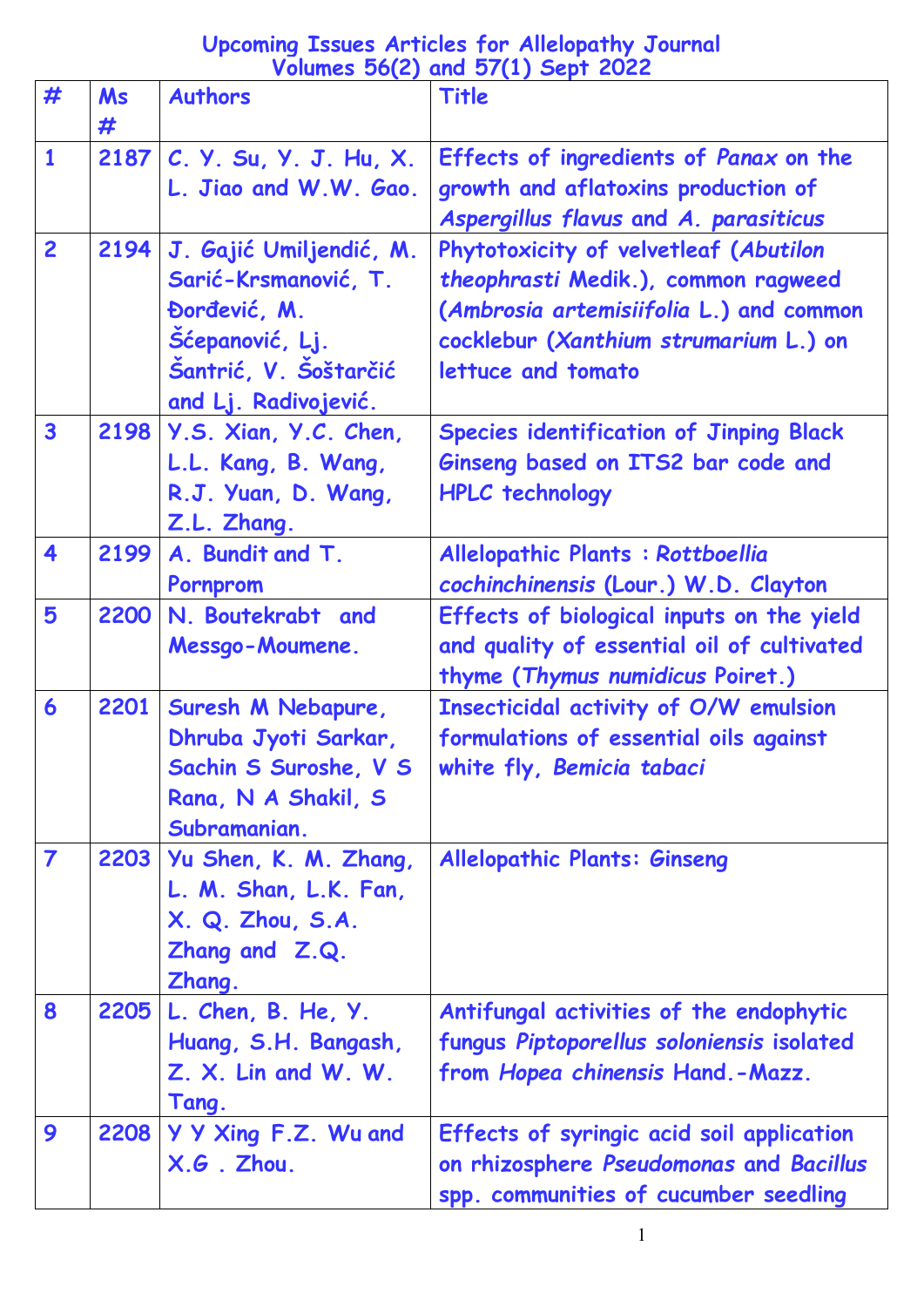## **Upcoming Issues Articles for Allelopathy Journal Volumes 56(2) and 57(1) Sept 2022**

| #                       | <b>Ms</b><br># | $\sim$ $\sim$ $\sim$<br><b>Authors</b>                                                                                              | Title                                                                                                                                                                                  |
|-------------------------|----------------|-------------------------------------------------------------------------------------------------------------------------------------|----------------------------------------------------------------------------------------------------------------------------------------------------------------------------------------|
| $\mathbf{1}$            |                | 2187 C. Y. Su, Y. J. Hu, X.<br>L. Jiao and W.W. Gao.                                                                                | Effects of ingredients of Panax on the<br>growth and aflatoxins production of<br>Aspergillus flavus and A. parasiticus                                                                 |
| $\overline{2}$          | 2194           | J. Gajić Umiljendić, M.<br>Sarić-Krsmanović, T.<br>Đorđević, M.<br>Šćepanović, Lj.<br>Šantrić, V. Šoštarčić<br>and Lj. Radivojević. | Phytotoxicity of velvetleaf (Abutilon<br>theophrasti Medik.), common ragweed<br>(Ambrosia artemisiifolia L.) and common<br>cocklebur (Xanthium strumarium L.) on<br>lettuce and tomato |
| $\overline{\mathbf{3}}$ |                | 2198 Y.S. Xian, Y.C. Chen,<br>L.L. Kang, B. Wang,<br>R.J. Yuan, D. Wang,<br>Z.L. Zhang.                                             | <b>Species identification of Jinping Black</b><br>Ginseng based on ITS2 bar code and<br><b>HPLC</b> technology                                                                         |
| 4                       | 2199           | A. Bundit and T.<br>Pornprom                                                                                                        | Allelopathic Plants : Rottboellia<br>cochinchinensis (Lour.) W.D. Clayton                                                                                                              |
| 5                       | 2200           | N. Boutekrabt and<br>Messgo-Moumene.                                                                                                | Effects of biological inputs on the yield<br>and quality of essential oil of cultivated<br>thyme (Thymus numidicus Poiret.)                                                            |
| 6                       | 2201           | Suresh M Nebapure,<br>Dhruba Jyoti Sarkar,<br>Sachin S Suroshe, V S<br>Rana, N A Shakil, S<br>Subramanian.                          | Insecticidal activity of O/W emulsion<br>formulations of essential oils against<br>white fly, Bemicia tabaci                                                                           |
| $\overline{\mathbf{z}}$ |                | 2203   Yu Shen, K. M. Zhang,<br>L. M. Shan, L.K. Fan,<br>X. Q. Zhou, S.A.<br>Zhang and Z.Q.<br>Zhang.                               | <b>Allelopathic Plants: Ginseng</b>                                                                                                                                                    |
| 8                       |                | 2205 L. Chen, B. He, Y.<br>Huang, S.H. Bangash,<br>Z. X. Lin and W. W.<br>Tang.                                                     | Antifungal activities of the endophytic<br>fungus Piptoporellus soloniensis isolated<br>from Hopea chinensis Hand.-Mazz.                                                               |
| 9                       | 2208           | Y Y Xing F.Z. Wu and<br>X.G. Zhou.                                                                                                  | Effects of syringic acid soil application<br>on rhizosphere Pseudomonas and Bacillus<br>spp. communities of cucumber seedling                                                          |